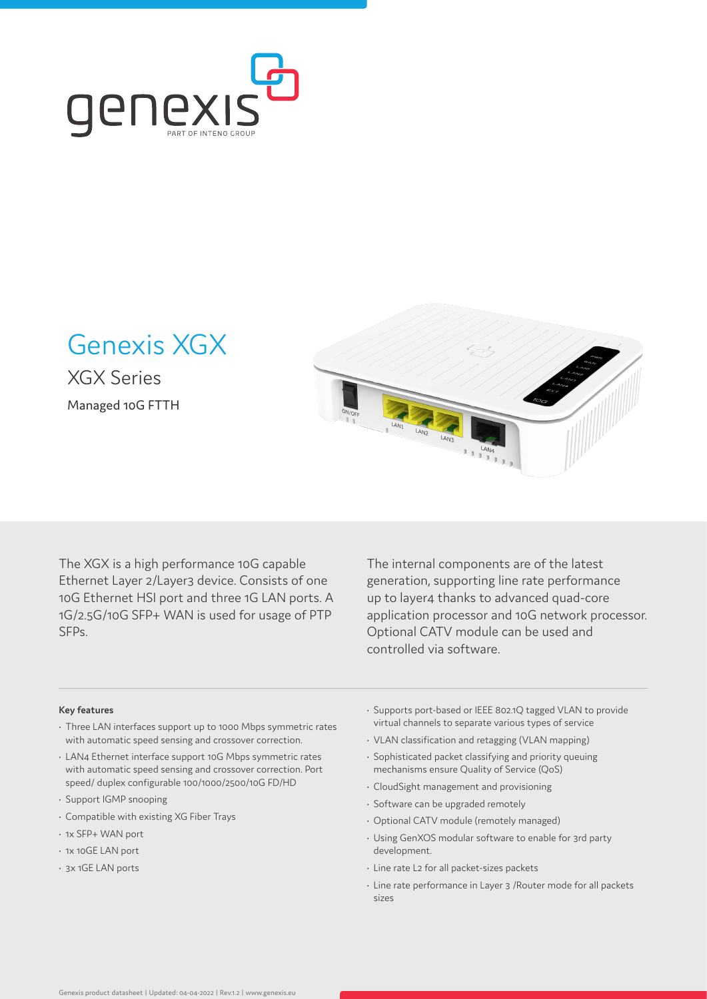

Genexis XGX

XGX Series Managed 10G FTTH



The XGX is a high performance 10G capable Ethernet Layer 2/Layer3 device. Consists of one 10G Ethernet HSI port and three 1G LAN ports. A 1G/2.5G/10G SFP+ WAN is used for usage of PTP SFPs.

The internal components are of the latest generation, supporting line rate performance up to layer4 thanks to advanced quad-core application processor and 10G network processor. Optional CATV module can be used and controlled via software.

# **Key features**

- Three LAN interfaces support up to 1000 Mbps symmetric rates with automatic speed sensing and crossover correction.
- LAN4 Ethernet interface support 10G Mbps symmetric rates with automatic speed sensing and crossover correction. Port speed/ duplex configurable 100/1000/2500/10G FD/HD
- Support IGMP snooping
- Compatible with existing XG Fiber Trays
- 1x SFP+ WAN port
- 1x 10GE LAN port
- 3x 1GE LAN ports
- Supports port-based or IEEE 802.1Q tagged VLAN to provide virtual channels to separate various types of service
- VLAN classification and retagging (VLAN mapping)
- Sophisticated packet classifying and priority queuing mechanisms ensure Quality of Service (QoS)
- CloudSight management and provisioning
- Software can be upgraded remotely
- Optional CATV module (remotely managed)
- Using GenXOS modular software to enable for 3rd party development.
- Line rate L2 for all packet-sizes packets
- Line rate performance in Layer 3 /Router mode for all packets sizes